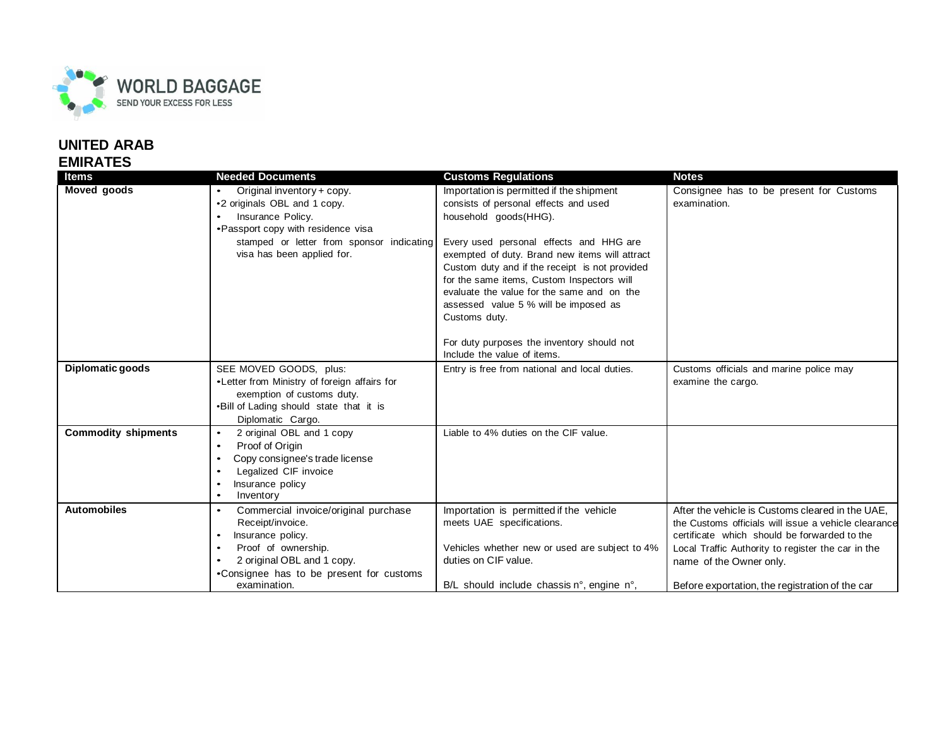

## **UNITED ARAB EMIRATES**

| <b>Items</b>               | <b>Needed Documents</b>                      | <b>Customs Regulations</b>                                                               | <b>Notes</b>                                         |
|----------------------------|----------------------------------------------|------------------------------------------------------------------------------------------|------------------------------------------------------|
| Moved goods                | Original inventory + copy.                   | Importation is permitted if the shipment                                                 | Consignee has to be present for Customs              |
|                            | •2 originals OBL and 1 copy.                 | consists of personal effects and used                                                    | examination.                                         |
|                            | Insurance Policy.                            | household goods(HHG).                                                                    |                                                      |
|                            | •Passport copy with residence visa           |                                                                                          |                                                      |
|                            | stamped or letter from sponsor indicating    | Every used personal effects and HHG are                                                  |                                                      |
|                            | visa has been applied for.                   | exempted of duty. Brand new items will attract                                           |                                                      |
|                            |                                              | Custom duty and if the receipt is not provided                                           |                                                      |
|                            |                                              | for the same items, Custom Inspectors will<br>evaluate the value for the same and on the |                                                      |
|                            |                                              | assessed value 5 % will be imposed as                                                    |                                                      |
|                            |                                              | Customs duty.                                                                            |                                                      |
|                            |                                              |                                                                                          |                                                      |
|                            |                                              | For duty purposes the inventory should not                                               |                                                      |
|                            |                                              | Include the value of items.                                                              |                                                      |
| Diplomatic goods           | SEE MOVED GOODS, plus:                       | Entry is free from national and local duties.                                            | Customs officials and marine police may              |
|                            | •Letter from Ministry of foreign affairs for |                                                                                          | examine the cargo.                                   |
|                            | exemption of customs duty.                   |                                                                                          |                                                      |
|                            | .Bill of Lading should state that it is      |                                                                                          |                                                      |
|                            | Diplomatic Cargo.                            |                                                                                          |                                                      |
| <b>Commodity shipments</b> | 2 original OBL and 1 copy<br>$\bullet$       | Liable to 4% duties on the CIF value.                                                    |                                                      |
|                            | Proof of Origin<br>$\bullet$                 |                                                                                          |                                                      |
|                            | Copy consignee's trade license<br>$\bullet$  |                                                                                          |                                                      |
|                            | Legalized CIF invoice                        |                                                                                          |                                                      |
|                            | Insurance policy<br>Inventory<br>$\bullet$   |                                                                                          |                                                      |
| <b>Automobiles</b>         | Commercial invoice/original purchase         | Importation is permitted if the vehicle                                                  | After the vehicle is Customs cleared in the UAE.     |
|                            | Receipt/invoice.                             | meets UAE specifications.                                                                | the Customs officials will issue a vehicle clearance |
|                            | Insurance policy.                            |                                                                                          | certificate which should be forwarded to the         |
|                            | Proof of ownership.                          | Vehicles whether new or used are subject to 4%                                           | Local Traffic Authority to register the car in the   |
|                            | 2 original OBL and 1 copy.                   | duties on CIF value.                                                                     | name of the Owner only.                              |
|                            | •Consignee has to be present for customs     |                                                                                          |                                                      |
|                            | examination.                                 | $B/L$ should include chassis n°, engine n°,                                              | Before exportation, the registration of the car      |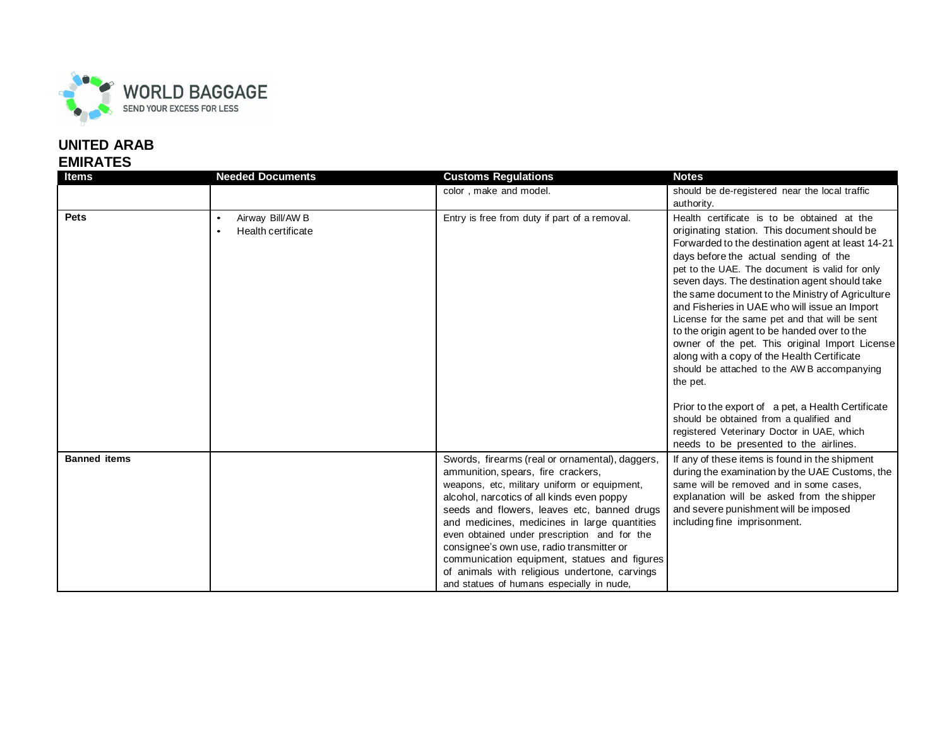

## **UNITED ARAB EMIRATES**

| <b>Items</b>        | <b>Needed Documents</b>                                          | <b>Customs Regulations</b>                                                                                                                                                                                                                                                                                                                                                                                                                                                                                                    | <b>Notes</b>                                                                                                                                                                                                                                                                                                                                                                                                                                                                                                                                                                                                                                                   |
|---------------------|------------------------------------------------------------------|-------------------------------------------------------------------------------------------------------------------------------------------------------------------------------------------------------------------------------------------------------------------------------------------------------------------------------------------------------------------------------------------------------------------------------------------------------------------------------------------------------------------------------|----------------------------------------------------------------------------------------------------------------------------------------------------------------------------------------------------------------------------------------------------------------------------------------------------------------------------------------------------------------------------------------------------------------------------------------------------------------------------------------------------------------------------------------------------------------------------------------------------------------------------------------------------------------|
|                     |                                                                  | color, make and model.                                                                                                                                                                                                                                                                                                                                                                                                                                                                                                        | should be de-registered near the local traffic                                                                                                                                                                                                                                                                                                                                                                                                                                                                                                                                                                                                                 |
|                     |                                                                  |                                                                                                                                                                                                                                                                                                                                                                                                                                                                                                                               | authority.                                                                                                                                                                                                                                                                                                                                                                                                                                                                                                                                                                                                                                                     |
| <b>Pets</b>         | Airway Bill/AW B<br>$\bullet$<br>Health certificate<br>$\bullet$ | Entry is free from duty if part of a removal.                                                                                                                                                                                                                                                                                                                                                                                                                                                                                 | Health certificate is to be obtained at the<br>originating station. This document should be<br>Forwarded to the destination agent at least 14-21<br>days before the actual sending of the<br>pet to the UAE. The document is valid for only<br>seven days. The destination agent should take<br>the same document to the Ministry of Agriculture<br>and Fisheries in UAE who will issue an Import<br>License for the same pet and that will be sent<br>to the origin agent to be handed over to the<br>owner of the pet. This original Import License<br>along with a copy of the Health Certificate<br>should be attached to the AWB accompanying<br>the pet. |
|                     |                                                                  |                                                                                                                                                                                                                                                                                                                                                                                                                                                                                                                               | Prior to the export of a pet, a Health Certificate<br>should be obtained from a qualified and<br>registered Veterinary Doctor in UAE, which<br>needs to be presented to the airlines.                                                                                                                                                                                                                                                                                                                                                                                                                                                                          |
| <b>Banned items</b> |                                                                  | Swords, firearms (real or ornamental), daggers,<br>ammunition, spears, fire crackers,<br>weapons, etc, military uniform or equipment,<br>alcohol, narcotics of all kinds even poppy<br>seeds and flowers, leaves etc, banned drugs<br>and medicines, medicines in large quantities<br>even obtained under prescription and for the<br>consignee's own use, radio transmitter or<br>communication equipment, statues and figures<br>of animals with religious undertone, carvings<br>and statues of humans especially in nude, | If any of these items is found in the shipment<br>during the examination by the UAE Customs, the<br>same will be removed and in some cases,<br>explanation will be asked from the shipper<br>and severe punishment will be imposed<br>including fine imprisonment.                                                                                                                                                                                                                                                                                                                                                                                             |